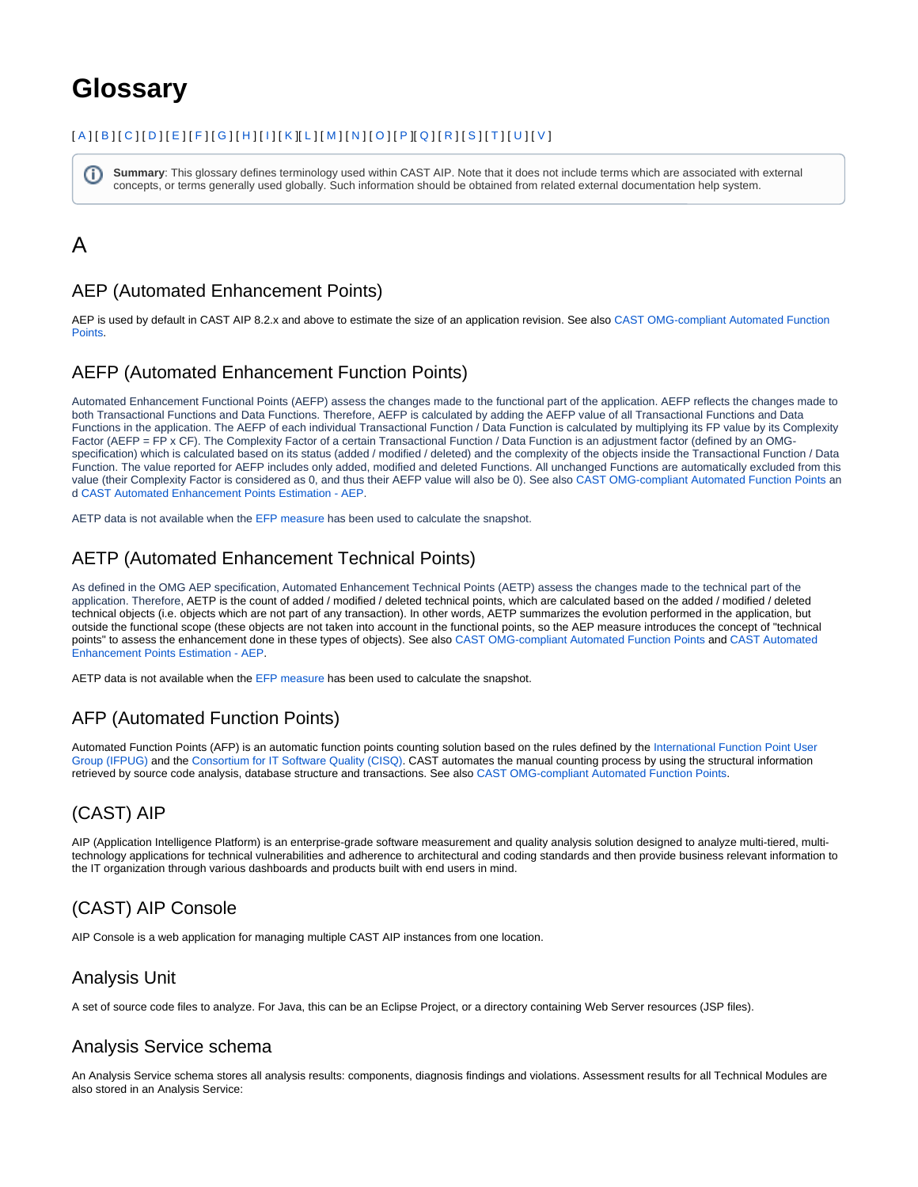# **Glossary**

#### [ [A](#page-0-0) ] [ [B](#page-1-0) ] [ [C](#page-2-0) ] [ [D](#page-3-0) ] [ [E](#page-4-0) ] [ [F](#page-5-0) ] [ [G](#page-6-0) ] [ [H](#page-6-1) ] [ [I](#page-6-2) ] [ [K](#page-6-3) ][ [L](#page-7-0) ] [ [M](#page-7-1) ] [ [N](#page-8-0) ] [ [O](#page-8-1) ] [ [P](#page-8-2) ][ [Q](#page-9-0) ] [ [R](#page-9-1) ] [ [S](#page-10-0) ] [ [T](#page-10-1) ] [ [U](#page-11-0) ] [ [V](#page-11-1) ]

⋒ **Summary**: This glossary defines terminology used within CAST AIP. Note that it does not include terms which are associated with external concepts, or terms generally used globally. Such information should be obtained from related external documentation help system.

# <span id="page-0-0"></span>A

#### <span id="page-0-1"></span>AEP (Automated Enhancement Points)

AEP is used by default in CAST AIP 8.2.x and above to estimate the size of an application revision. See also [CAST OMG-compliant Automated Function](https://doc.castsoftware.com/display/DOC83/CAST+OMG-compliant+Automated+Function+Points)  [Points.](https://doc.castsoftware.com/display/DOC83/CAST+OMG-compliant+Automated+Function+Points)

#### AEFP (Automated Enhancement Function Points)

Automated Enhancement Functional Points (AEFP) assess the changes made to the functional part of the application. AEFP reflects the changes made to both Transactional Functions and Data Functions. Therefore, AEFP is calculated by adding the AEFP value of all Transactional Functions and Data Functions in the application. The AEFP of each individual Transactional Function / Data Function is calculated by multiplying its FP value by its Complexity Factor (AEFP = FP x CF). The Complexity Factor of a certain Transactional Function / Data Function is an adjustment factor (defined by an OMGspecification) which is calculated based on its status (added / modified / deleted) and the complexity of the objects inside the Transactional Function / Data Function. The value reported for AEFP includes only added, modified and deleted Functions. All unchanged Functions are automatically excluded from this value (their Complexity Factor is considered as 0, and thus their AEFP value will also be 0). See also [CAST OMG-compliant Automated Function Points](https://doc.castsoftware.com/display/DOC83/CAST+OMG-compliant+Automated+Function+Points) an d [CAST Automated Enhancement Points Estimation - AEP.](https://doc.castsoftware.com/display/DOC83/CAST+Automated+Enhancement+Points+Estimation+-+AEP)

AETP data is not available when the [EFP measure](http://doc.castsoftware.com#EFP) has been used to calculate the snapshot.

# <span id="page-0-2"></span>AETP (Automated Enhancement Technical Points)

As defined in the OMG AEP specification, Automated Enhancement Technical Points (AETP) assess the changes made to the technical part of the application. Therefore, AETP is the count of added / modified / deleted technical points, which are calculated based on the added / modified / deleted technical objects (i.e. objects which are not part of any transaction). In other words, AETP summarizes the evolution performed in the application, but outside the functional scope (these objects are not taken into account in the functional points, so the AEP measure introduces the concept of "technical points" to assess the enhancement done in these types of objects). See also [CAST OMG-compliant Automated Function Points](https://doc.castsoftware.com/display/DOC83/CAST+OMG-compliant+Automated+Function+Points) and [CAST Automated](https://doc.castsoftware.com/display/DOC83/CAST+Automated+Enhancement+Points+Estimation+-+AEP)  [Enhancement Points Estimation - AEP.](https://doc.castsoftware.com/display/DOC83/CAST+Automated+Enhancement+Points+Estimation+-+AEP)

AETP data is not available when the [EFP measure](http://doc.castsoftware.com#EFP) has been used to calculate the snapshot.

# AFP (Automated Function Points)

Automated Function Points (AFP) is an automatic function points counting solution based on the rules defined by the [International Function Point User](http://www.ifpug.org/)  [Group \(IFPUG\)](http://www.ifpug.org/) and the [Consortium for IT Software Quality \(CISQ\).](http://it-cisq.org/tag/automated-function-points/) CAST automates the manual counting process by using the structural information retrieved by source code analysis, database structure and transactions. See also [CAST OMG-compliant Automated Function Points.](https://doc.castsoftware.com/display/DOC83/CAST+OMG-compliant+Automated+Function+Points)

# (CAST) AIP

AIP (Application Intelligence Platform) is an enterprise-grade software measurement and quality analysis solution designed to analyze multi-tiered, multitechnology applications for technical vulnerabilities and adherence to architectural and coding standards and then provide business relevant information to the IT organization through various dashboards and products built with end users in mind.

# (CAST) AIP Console

AIP Console is a web application for managing multiple CAST AIP instances from one location.

# Analysis Unit

A set of source code files to analyze. For Java, this can be an Eclipse Project, or a directory containing Web Server resources (JSP files).

#### Analysis Service schema

An Analysis Service schema stores all analysis results: components, diagnosis findings and violations. Assessment results for all Technical Modules are also stored in an Analysis Service:

⋒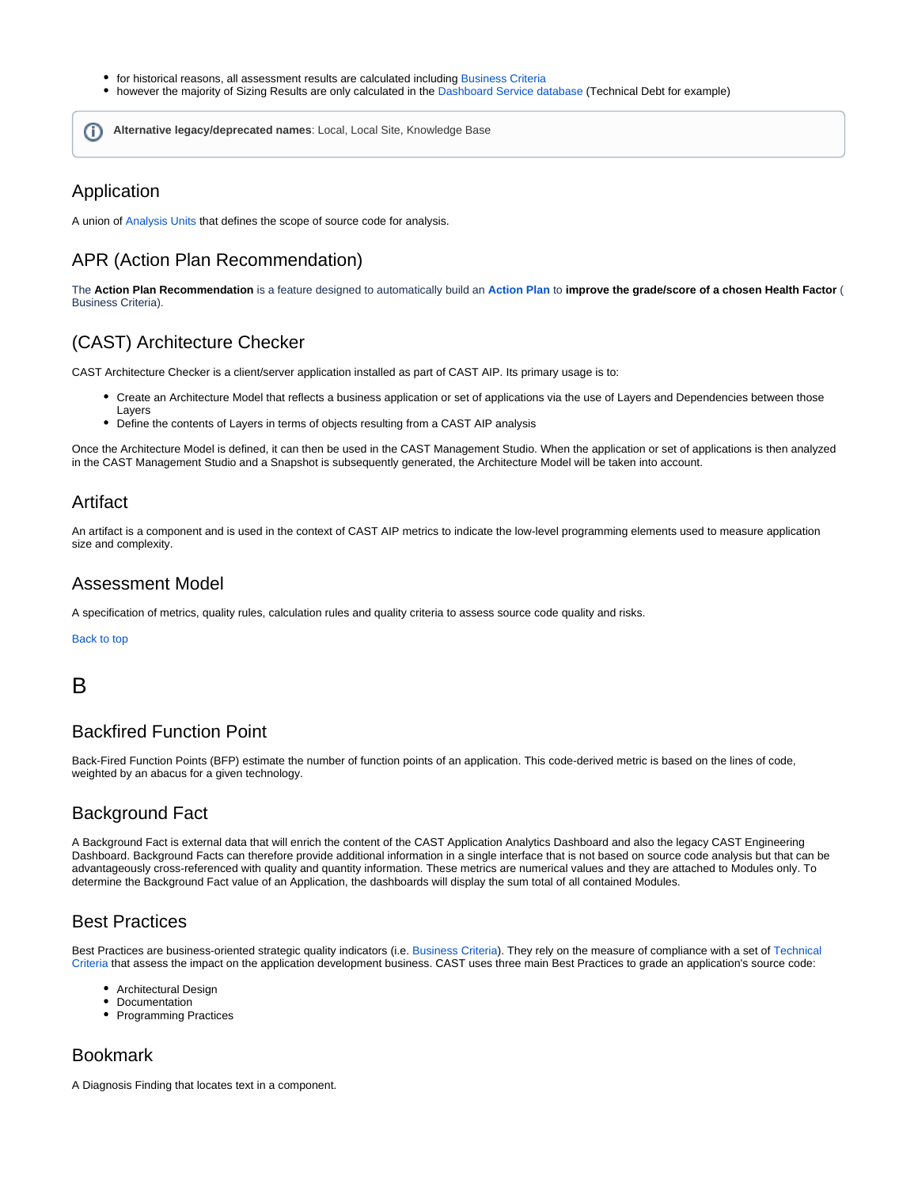- for historical reasons, all assessment results are calculated including [Business Criteria](https://doc.castsoftware.com/pages/viewpage.action?pageId=233865401#Glossary-bc)
- $\bullet$ however the majority of Sizing Results are only calculated in the [Dashboard Service database](https://doc.castsoftware.com/pages/viewpage.action?pageId=233865401#Glossary-ds) (Technical Debt for example)

**Alternative legacy/deprecated names**: Local, Local Site, Knowledge Base൹

#### Application

A union of [Analysis Units](https://doc.castsoftware.com/pages/viewpage.action?pageId=233865401#Glossary-au) that defines the scope of source code for analysis.

# APR (Action Plan Recommendation)

The **Action Plan Recommendation** is a feature designed to automatically build an **[Action Plan](https://doc.castsoftware.com/display/DASHBOARDSDRAFT/Engineering+Dashboard+-+Action+Plan)** to **improve the grade/score of a chosen Health Factor** ( Business Criteria).

# (CAST) Architecture Checker

CAST Architecture Checker is a client/server application installed as part of CAST AIP. Its primary usage is to:

- Create an Architecture Model that reflects a business application or set of applications via the use of Layers and Dependencies between those Layers
- Define the contents of Layers in terms of objects resulting from a CAST AIP analysis  $\bullet$

Once the Architecture Model is defined, it can then be used in the CAST Management Studio. When the application or set of applications is then analyzed in the CAST Management Studio and a Snapshot is subsequently generated, the Architecture Model will be taken into account.

#### Artifact

An artifact is a component and is used in the context of CAST AIP metrics to indicate the low-level programming elements used to measure application size and complexity.

#### Assessment Model

A specification of metrics, quality rules, calculation rules and quality criteria to assess source code quality and risks.

#### [Back to top](https://doc.castsoftware.com/pages/viewpage.action?pageId=233865401#Glossary-top)

#### <span id="page-1-0"></span>B

#### Backfired Function Point

Back-Fired Function Points (BFP) estimate the number of function points of an application. This code-derived metric is based on the lines of code, weighted by an abacus for a given technology.

#### Background Fact

A Background Fact is external data that will enrich the content of the CAST Application Analytics Dashboard and also the legacy CAST Engineering Dashboard. Background Facts can therefore provide additional information in a single interface that is not based on source code analysis but that can be advantageously cross-referenced with quality and quantity information. These metrics are numerical values and they are attached to Modules only. To determine the Background Fact value of an Application, the dashboards will display the sum total of all contained Modules.

#### Best Practices

Best Practices are business-oriented strategic quality indicators (i.e. [Business Criteria\)](https://doc.castsoftware.com/pages/viewpage.action?pageId=233865401#Glossary-bc). They rely on the measure of compliance with a set of [Technical](https://doc.castsoftware.com/pages/viewpage.action?pageId=233865401#Glossary-tc)  [Criteria](https://doc.castsoftware.com/pages/viewpage.action?pageId=233865401#Glossary-tc) that assess the impact on the application development business. CAST uses three main Best Practices to grade an application's source code:

- $\bullet$ Architectural Design
- Documentation
- Programming Practices

#### Bookmark

A Diagnosis Finding that locates text in a component.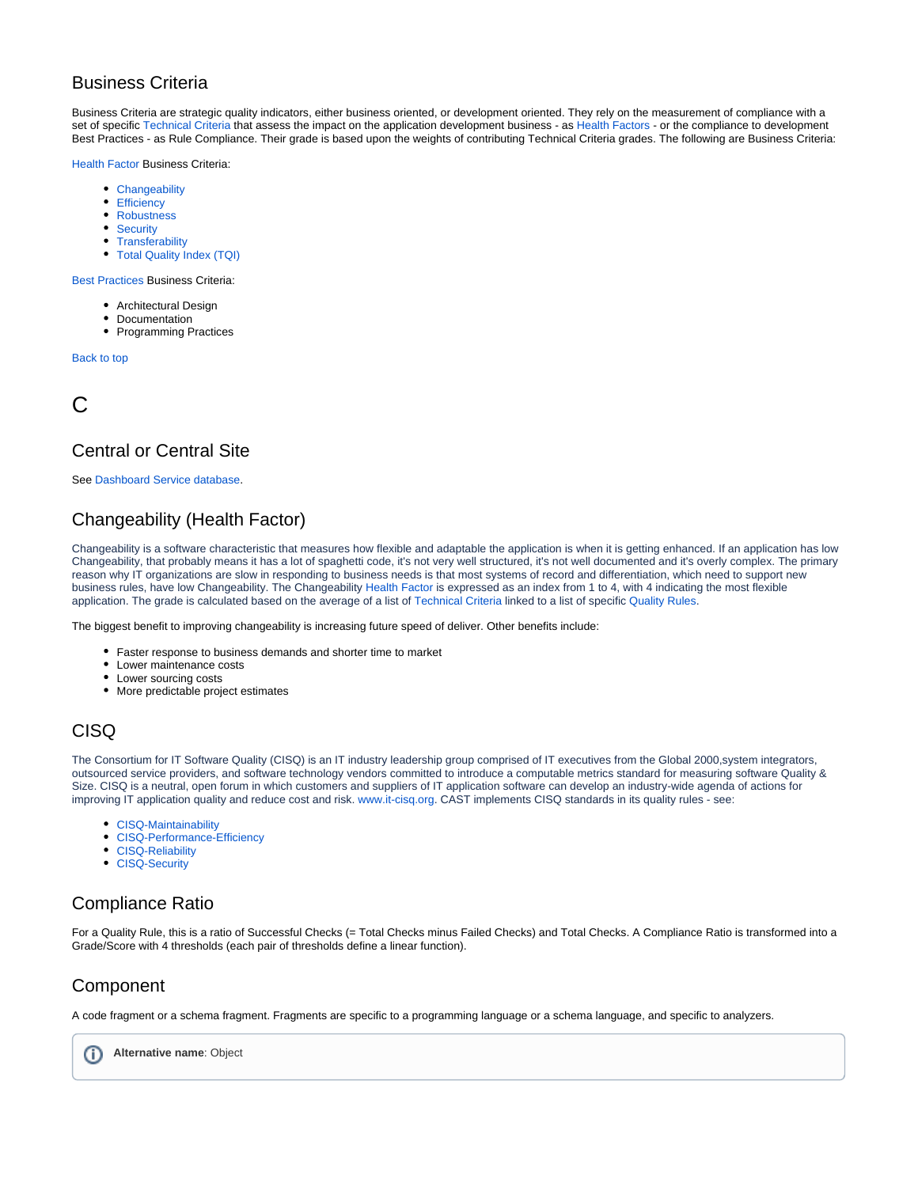# Business Criteria

Business Criteria are strategic quality indicators, either business oriented, or development oriented. They rely on the measurement of compliance with a set of specific [Technical Criteria](https://doc.castsoftware.com/pages/viewpage.action?pageId=233865401#Glossary-tc) that assess the impact on the application development business - as [Health Factors](https://doc.castsoftware.com/pages/viewpage.action?pageId=233865401#Glossary-hf) - or the compliance to development Best Practices - as Rule Compliance. Their grade is based upon the weights of contributing Technical Criteria grades. The following are Business Criteria:

[Health Factor](https://doc.castsoftware.com/pages/viewpage.action?pageId=233865401#Glossary-hf) Business Criteria:

- [Changeability](https://doc.castsoftware.com/pages/viewpage.action?pageId=233865401#Glossary-changeability)
- [Efficiency](https://doc.castsoftware.com/pages/viewpage.action?pageId=233865401#Glossary-efficiency)
- [Robustness](https://doc.castsoftware.com/pages/viewpage.action?pageId=233865401#Glossary-robustness)
- $\bullet$ **[Security](https://doc.castsoftware.com/pages/viewpage.action?pageId=233865401#Glossary-security)**
- [Transferability](https://doc.castsoftware.com/pages/viewpage.action?pageId=233865401#Glossary-transferability)
- [Total Quality Index \(TQI\)](https://doc.castsoftware.com/pages/viewpage.action?pageId=233865401#Glossary-TQI)

[Best Practices](https://doc.castsoftware.com/pages/viewpage.action?pageId=233865401#Glossary-bestpractices) Business Criteria:

- Architectural Design
- Documentation
- Programming Practices

[Back to top](https://doc.castsoftware.com/pages/viewpage.action?pageId=233865401#Glossary-top)

<span id="page-2-0"></span>C

# Central or Central Site

See [Dashboard Service database](https://doc.castsoftware.com/pages/viewpage.action?pageId=233865401#Glossary-ds).

# Changeability (Health Factor)

Changeability is a software characteristic that measures how flexible and adaptable the application is when it is getting enhanced. If an application has low Changeability, that probably means it has a lot of spaghetti code, it's not very well structured, it's not well documented and it's overly complex. The primary reason why IT organizations are slow in responding to business needs is that most systems of record and differentiation, which need to support new business rules, have low Changeability. The Changeability [Health Factor](https://doc.castsoftware.com/pages/viewpage.action?pageId=233865401#Glossary-hf) is expressed as an index from 1 to 4, with 4 indicating the most flexible application. The grade is calculated based on the average of a list of [Technical Criteria](https://doc.castsoftware.com/pages/viewpage.action?pageId=233865401#Glossary-tc) linked to a list of specific [Quality Rules.](https://doc.castsoftware.com/pages/viewpage.action?pageId=233865401#Glossary-qr)

The biggest benefit to improving changeability is increasing future speed of deliver. Other benefits include:

- Faster response to business demands and shorter time to market
- Lower maintenance costs
- Lower sourcing costs
- More predictable project estimates

# **CISQ**

The Consortium for IT Software Quality (CISQ) is an IT industry leadership group comprised of IT executives from the Global 2000,system integrators, outsourced service providers, and software technology vendors committed to introduce a computable metrics standard for measuring software Quality & Size. CISQ is a neutral, open forum in which customers and suppliers of IT application software can develop an industry-wide agenda of actions for improving IT application quality and reduce cost and risk. [www.it-cisq.org.](http://www.it-cisq.org) CAST implements CISQ standards in its quality rules - see:

- [CISQ-Maintainability](https://technologies.castsoftware.com/rules?sec=std_cisq_cisq-maintainability&ref=||)
- [CISQ-Performance-Efficiency](https://technologies.castsoftware.com/rules?sec=std_cisq_cisq-performance-efficiency&ref=||)
- [CISQ-Reliability](https://technologies.castsoftware.com/rules?sec=std_cisq_cisq-reliability&ref=||)
- [CISQ-Security](https://technologies.castsoftware.com/rules?sec=std_cisq_cisq-security&ref=||)

# Compliance Ratio

For a Quality Rule, this is a ratio of Successful Checks (= Total Checks minus Failed Checks) and Total Checks. A Compliance Ratio is transformed into a Grade/Score with 4 thresholds (each pair of thresholds define a linear function).

#### **Component**

A code fragment or a schema fragment. Fragments are specific to a programming language or a schema language, and specific to analyzers.

**Alternative name**: ObjectO)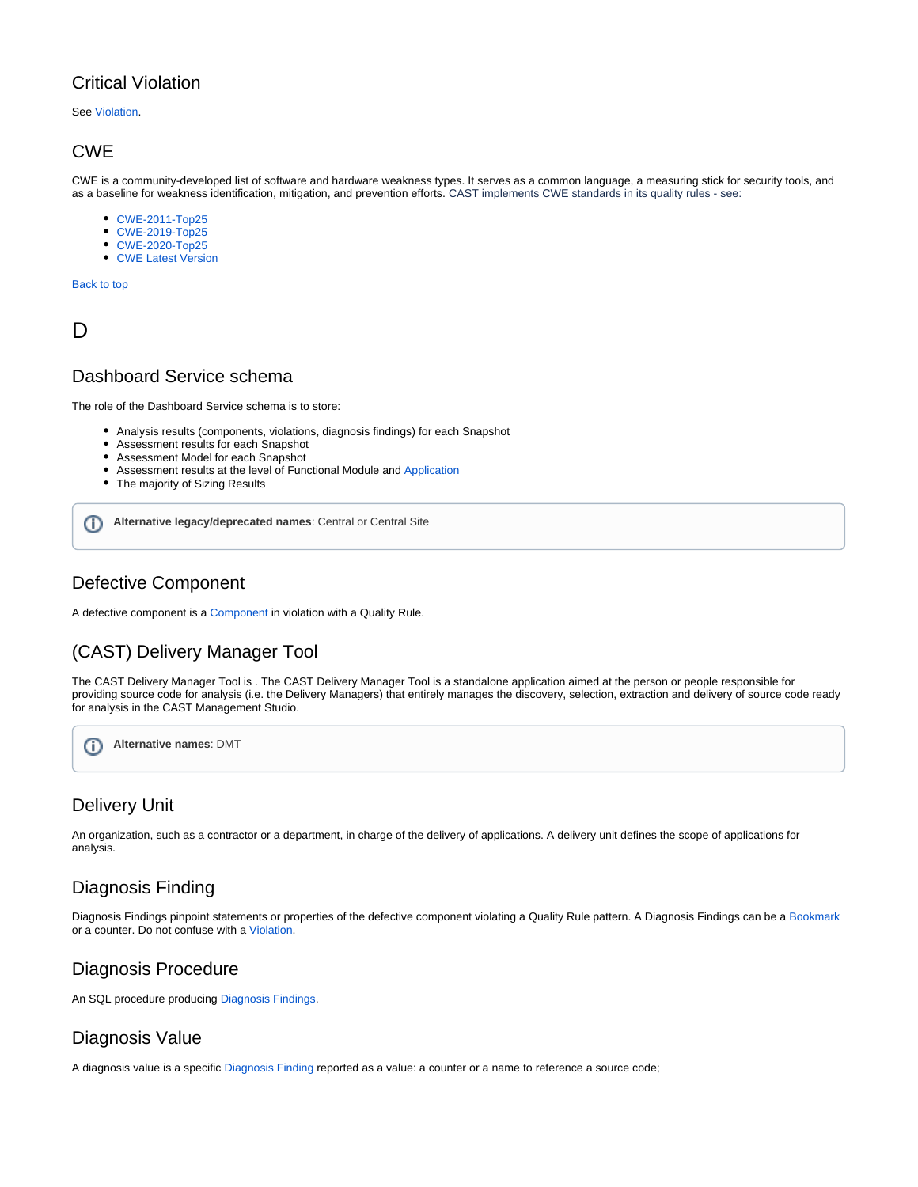# Critical Violation

See [Violation](https://doc.castsoftware.com/pages/viewpage.action?pageId=233865401#Glossary-violation).

#### CWE

CWE is a community-developed list of software and hardware weakness types. It serves as a common language, a measuring stick for security tools, and as a baseline for weakness identification, mitigation, and prevention efforts. CAST implements CWE standards in its quality rules - see:

- [CWE-2011-Top25](https://technologies.castsoftware.com/rules?sec=std_cwe_cwe-2011-top25&ref=||)
- [CWE-2019-Top25](https://technologies.castsoftware.com/rules?sec=std_cwe_cwe-2019-top25&ref=||)
- [CWE-2020-Top25](https://technologies.castsoftware.com/rules?sec=std_cwe_cwe-2020-top25&ref=||)
- [CWE Latest Version](https://technologies.castsoftware.com/rules?sec=std_cwe_cwe-latest-version&ref=||)

[Back to top](https://doc.castsoftware.com/pages/viewpage.action?pageId=233865401#Glossary-top)

<span id="page-3-0"></span> $\mathsf{D}$ 

#### Dashboard Service schema

The role of the Dashboard Service schema is to store:

- Analysis results (components, violations, diagnosis findings) for each Snapshot
- Assessment results for each Snapshot
- Assessment Model for each Snapshot
- Assessment results at the level of Functional Module and [Application](https://doc.castsoftware.com/pages/viewpage.action?pageId=233865401#Glossary-application)
- The majority of Sizing Results

**Alternative legacy/deprecated names**: Central or Central Site G)

#### Defective Component

A defective component is a [Component](https://doc.castsoftware.com/pages/viewpage.action?pageId=233865401#Glossary-component) in violation with a Quality Rule.

# (CAST) Delivery Manager Tool

The CAST Delivery Manager Tool is . The CAST Delivery Manager Tool is a standalone application aimed at the person or people responsible for providing source code for analysis (i.e. the Delivery Managers) that entirely manages the discovery, selection, extraction and delivery of source code ready for analysis in the CAST Management Studio.

**Alternative names**: DMT(i)

# Delivery Unit

An organization, such as a contractor or a department, in charge of the delivery of applications. A delivery unit defines the scope of applications for analysis.

# Diagnosis Finding

Diagnosis Findings pinpoint statements or properties of the defective component violating a Quality Rule pattern. A Diagnosis Findings can be a [Bookmark](https://doc.castsoftware.com/pages/viewpage.action?pageId=233865401#Glossary-anchor) or a counter. Do not confuse with a [Violation](https://doc.castsoftware.com/pages/viewpage.action?pageId=233865401).

# Diagnosis Procedure

An SQL procedure producing [Diagnosis Findings.](https://doc.castsoftware.com/pages/viewpage.action?pageId=233865401#Glossary-diagnosisfindings)

#### Diagnosis Value

A diagnosis value is a specific [Diagnosis Finding](https://doc.castsoftware.com/pages/viewpage.action?pageId=233865401#Glossary-diagnosisfindings) reported as a value: a counter or a name to reference a source code;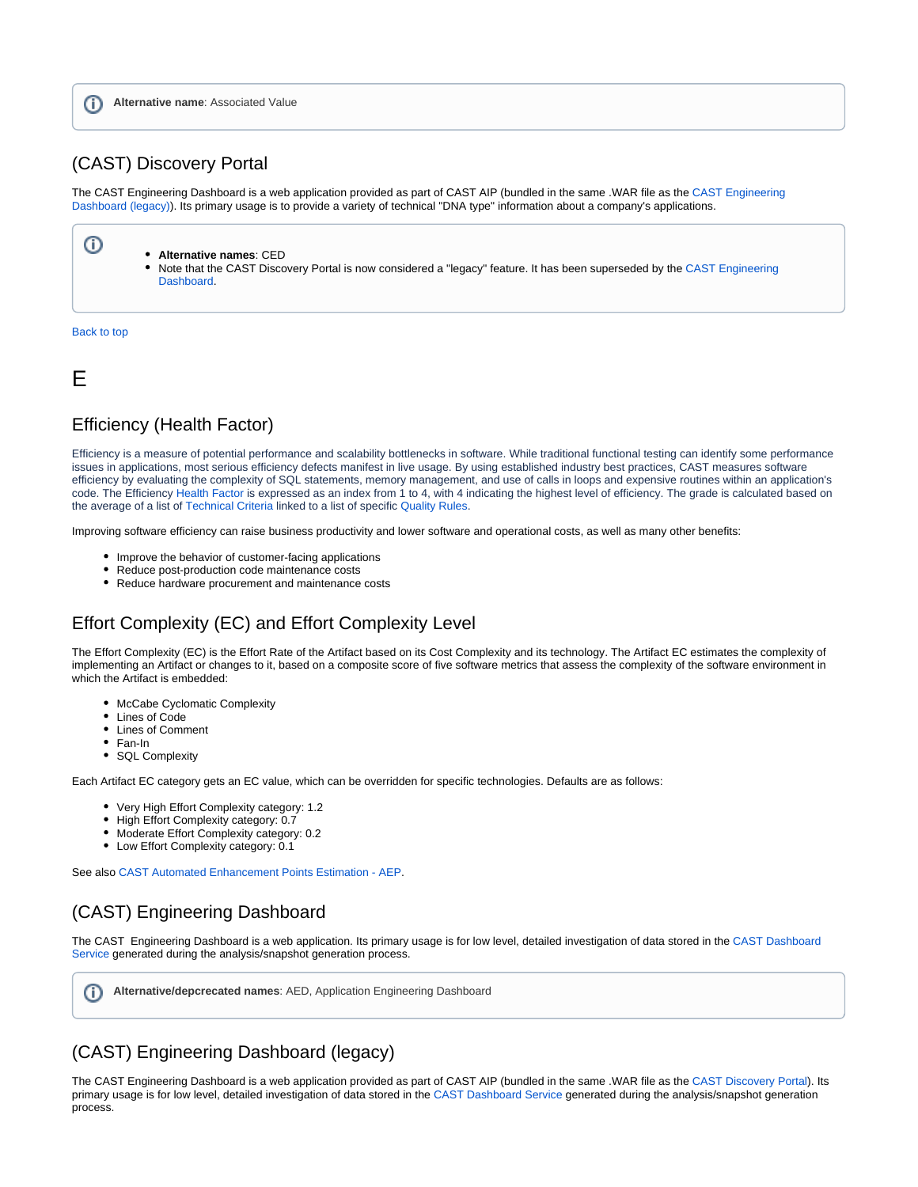# (CAST) Discovery Portal

The CAST Engineering Dashboard is a web application provided as part of CAST AIP (bundled in the same .WAR file as the [CAST Engineering](https://doc.castsoftware.com/pages/viewpage.action?pageId=233865401#Glossary-ced)  [Dashboard \(legacy\)](https://doc.castsoftware.com/pages/viewpage.action?pageId=233865401#Glossary-ced)). Its primary usage is to provide a variety of technical "DNA type" information about a company's applications.

**Alternative names**: CED Note that the CAST Discovery Portal is now considered a "legacy" feature. It has been superseded by the [CAST Engineering](https://doc.castsoftware.com/pages/viewpage.action?pageId=233865401#Glossary-aed)  [Dashboard](https://doc.castsoftware.com/pages/viewpage.action?pageId=233865401#Glossary-aed).

[Back to top](https://doc.castsoftware.com/pages/viewpage.action?pageId=233865401#Glossary-top)

➀

<span id="page-4-0"></span>E

# Efficiency (Health Factor)

Efficiency is a measure of potential performance and scalability bottlenecks in software. While traditional functional testing can identify some performance issues in applications, most serious efficiency defects manifest in live usage. By using established industry best practices, CAST measures software efficiency by evaluating the complexity of SQL statements, memory management, and use of calls in loops and expensive routines within an application's code. The Efficiency [Health Factor](https://doc.castsoftware.com/pages/viewpage.action?pageId=233865401#Glossary-hf) is expressed as an index from 1 to 4, with 4 indicating the highest level of efficiency. The grade is calculated based on the average of a list of [Technical Criteria](https://doc.castsoftware.com/pages/viewpage.action?pageId=233865401#Glossary-tc) linked to a list of specific [Quality Rules.](https://doc.castsoftware.com/pages/viewpage.action?pageId=233865401#Glossary-qr)

Improving software efficiency can raise business productivity and lower software and operational costs, as well as many other benefits:

- Improve the behavior of customer-facing applications
- Reduce post-production code maintenance costs
- Reduce hardware procurement and maintenance costs

# Effort Complexity (EC) and Effort Complexity Level

The Effort Complexity (EC) is the Effort Rate of the Artifact based on its Cost Complexity and its technology. The Artifact EC estimates the complexity of implementing an Artifact or changes to it, based on a composite score of five software metrics that assess the complexity of the software environment in which the Artifact is embedded:

- McCabe Cyclomatic Complexity
- Lines of Code
- Lines of Comment
- Fan-In
- SQL Complexity

Each Artifact EC category gets an EC value, which can be overridden for specific technologies. Defaults are as follows:

- Very High Effort Complexity category: 1.2
- High Effort Complexity category: 0.7
- Moderate Effort Complexity category: 0.2
- Low Effort Complexity category: 0.1

See also [CAST Automated Enhancement Points Estimation - AEP.](https://doc.castsoftware.com/display/DOC83/CAST+Automated+Enhancement+Points+Estimation+-+AEP)

# (CAST) Engineering Dashboard

The CAST Engineering Dashboard is a web application. Its primary usage is for low level, detailed investigation of data stored in the [CAST Dashboard](https://doc.castsoftware.com/pages/viewpage.action?pageId=233865401#Glossary-ds)  [Service](https://doc.castsoftware.com/pages/viewpage.action?pageId=233865401#Glossary-ds) generated during the analysis/snapshot generation process.

⋒ **Alternative/depcrecated names**: AED, Application Engineering Dashboard

# (CAST) Engineering Dashboard (legacy)

The CAST Engineering Dashboard is a web application provided as part of CAST AIP (bundled in the same .WAR file as the [CAST Discovery Portal\)](https://doc.castsoftware.com/pages/viewpage.action?pageId=233865401#Glossary-cdp). Its primary usage is for low level, detailed investigation of data stored in the [CAST Dashboard Service](https://doc.castsoftware.com/pages/viewpage.action?pageId=233865401#Glossary-ds) generated during the analysis/snapshot generation process.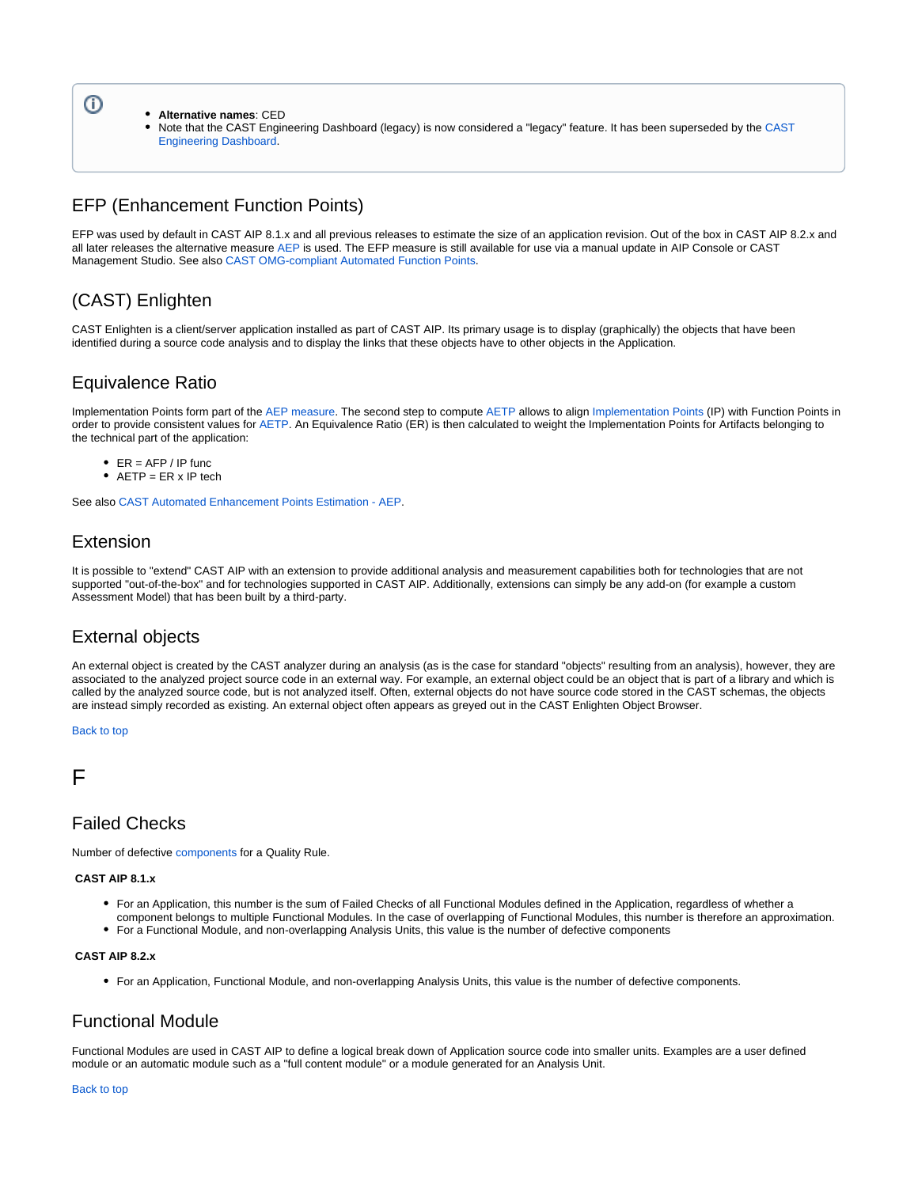#### ➀

**Alternative names**: CED

Note that the CAST Engineering Dashboard (legacy) is now considered a "legacy" feature. It has been superseded by the [CAST](https://doc.castsoftware.com/pages/viewpage.action?pageId=233865401#Glossary-aed)  [Engineering Dashboard.](https://doc.castsoftware.com/pages/viewpage.action?pageId=233865401#Glossary-aed)

# EFP (Enhancement Function Points)

EFP was used by default in CAST AIP 8.1.x and all previous releases to estimate the size of an application revision. Out of the box in CAST AIP 8.2.x and all later releases the alternative measure [AEP](#page-0-1) is used. The EFP measure is still available for use via a manual update in AIP Console or CAST Management Studio. See also [CAST OMG-compliant Automated Function Points](https://doc.castsoftware.com/display/DOC83/CAST+OMG-compliant+Automated+Function+Points).

# (CAST) Enlighten

CAST Enlighten is a client/server application installed as part of CAST AIP. Its primary usage is to display (graphically) the objects that have been identified during a source code analysis and to display the links that these objects have to other objects in the Application.

# Equivalence Ratio

Implementation Points form part of the [AEP measure.](https://doc.castsoftware.com/pages/viewpage.action?pageId=233865401#Glossary-AEP) The second step to compute [AETP](#page-0-2) allows to align [Implementation Points](https://doc.castsoftware.com/pages/viewpage.action?pageId=233865401#Glossary-IP) (IP) with Function Points in order to provide consistent values for [AETP.](#page-0-2) An Equivalence Ratio (ER) is then calculated to weight the Implementation Points for Artifacts belonging to the technical part of the application:

- $\bullet$  ER = AFP / IP func
- $\bullet$  AETP = ER x IP tech

See also [CAST Automated Enhancement Points Estimation - AEP.](https://doc.castsoftware.com/display/DOC83/CAST+Automated+Enhancement+Points+Estimation+-+AEP)

# Extension

It is possible to "extend" CAST AIP with an extension to provide additional analysis and measurement capabilities both for technologies that are not supported "out-of-the-box" and for technologies supported in CAST AIP. Additionally, extensions can simply be any add-on (for example a custom Assessment Model) that has been built by a third-party.

# External objects

An external object is created by the CAST analyzer during an analysis (as is the case for standard "objects" resulting from an analysis), however, they are associated to the analyzed project source code in an external way. For example, an external object could be an object that is part of a library and which is called by the analyzed source code, but is not analyzed itself. Often, external objects do not have source code stored in the CAST schemas, the objects are instead simply recorded as existing. An external object often appears as greyed out in the CAST Enlighten Object Browser.

#### [Back to top](https://doc.castsoftware.com/pages/viewpage.action?pageId=233865401#Glossary-top)

#### <span id="page-5-0"></span>F

# Failed Checks

Number of defective [components](https://doc.castsoftware.com/pages/viewpage.action?pageId=233865401#Glossary-component) for a Quality Rule.

#### **CAST AIP 8.1.x**

- For an Application, this number is the sum of Failed Checks of all Functional Modules defined in the Application, regardless of whether a component belongs to multiple Functional Modules. In the case of overlapping of Functional Modules, this number is therefore an approximation.
- For a Functional Module, and non-overlapping Analysis Units, this value is the number of defective components

#### **CAST AIP 8.2.x**

For an Application, Functional Module, and non-overlapping Analysis Units, this value is the number of defective components.

# Functional Module

Functional Modules are used in CAST AIP to define a logical break down of Application source code into smaller units. Examples are a user defined module or an automatic module such as a "full content module" or a module generated for an Analysis Unit.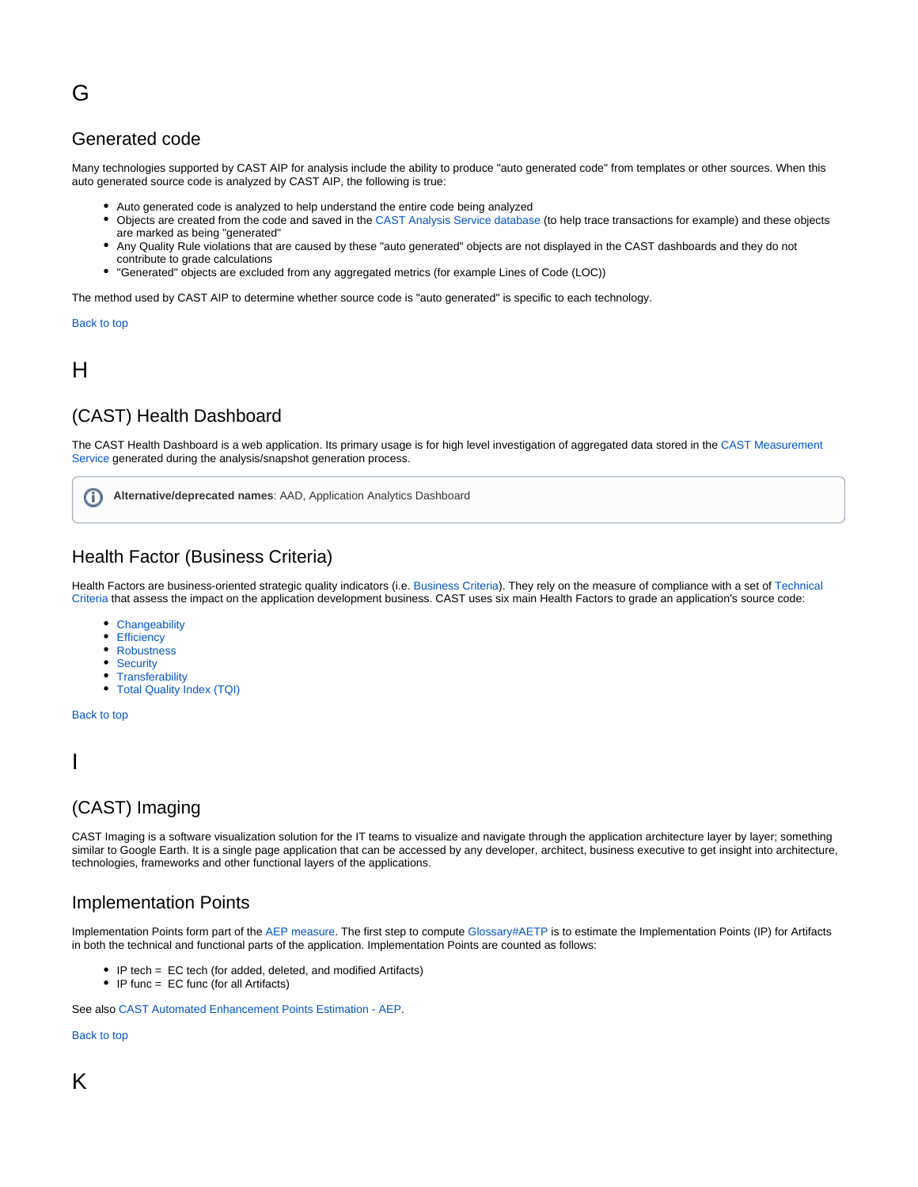# <span id="page-6-0"></span>G

# Generated code

Many technologies supported by CAST AIP for analysis include the ability to produce "auto generated code" from templates or other sources. When this auto generated source code is analyzed by CAST AIP, the following is true:

- Auto generated code is analyzed to help understand the entire code being analyzed
- Objects are created from the code and saved in the [CAST Analysis Service database](https://doc.castsoftware.com/pages/viewpage.action?pageId=233865401#Glossary-as) (to help trace transactions for example) and these objects are marked as being "generated"
- Any Quality Rule violations that are caused by these "auto generated" objects are not displayed in the CAST dashboards and they do not contribute to grade calculations
- "Generated" objects are excluded from any aggregated metrics (for example Lines of Code (LOC))

The method used by CAST AIP to determine whether source code is "auto generated" is specific to each technology.

[Back to top](https://doc.castsoftware.com/pages/viewpage.action?pageId=233865401#Glossary-top)

# <span id="page-6-1"></span>H

# (CAST) Health Dashboard

The CAST Health Dashboard is a web application. Its primary usage is for high level investigation of aggregated data stored in the [CAST Measurement](https://doc.castsoftware.com/pages/viewpage.action?pageId=233865401#Glossary-ms)  [Service](https://doc.castsoftware.com/pages/viewpage.action?pageId=233865401#Glossary-ms) generated during the analysis/snapshot generation process.

**Alternative/deprecated names**: AAD, Application Analytics DashboardG)

# Health Factor (Business Criteria)

Health Factors are business-oriented strategic quality indicators (i.e. [Business Criteria\)](https://doc.castsoftware.com/pages/viewpage.action?pageId=233865401#Glossary-bc). They rely on the measure of compliance with a set of Technical [Criteria](https://doc.castsoftware.com/pages/viewpage.action?pageId=233865401#Glossary-tc) that assess the impact on the application development business. CAST uses six main Health Factors to grade an application's source code:

• [Changeability](https://doc.castsoftware.com/pages/viewpage.action?pageId=233865401#Glossary-changeability)

- [Efficiency](https://doc.castsoftware.com/pages/viewpage.action?pageId=233865401#Glossary-efficiency)
- [Robustness](https://doc.castsoftware.com/pages/viewpage.action?pageId=233865401#Glossary-robustness)
- $\bullet$ **[Security](https://doc.castsoftware.com/pages/viewpage.action?pageId=233865401#Glossary-security)**
- [Transferability](https://doc.castsoftware.com/pages/viewpage.action?pageId=233865401#Glossary-transferability)
- [Total Quality Index \(TQI\)](https://doc.castsoftware.com/pages/viewpage.action?pageId=233865401#Glossary-TQI)

[Back to top](https://doc.castsoftware.com/pages/viewpage.action?pageId=233865401#Glossary-top)

# <span id="page-6-2"></span>I

# (CAST) Imaging

CAST Imaging is a software visualization solution for the IT teams to visualize and navigate through the application architecture layer by layer; something similar to Google Earth. It is a single page application that can be accessed by any developer, architect, business executive to get insight into architecture, technologies, frameworks and other functional layers of the applications.

# Implementation Points

Implementation Points form part of the [AEP measure.](https://doc.castsoftware.com/pages/viewpage.action?pageId=233865401#Glossary-AEP) The first step to compute [Glossary#AETP](https://doc.castsoftware.com/pages/viewpage.action?pageId=233865401#Glossary-AETP) is to estimate the Implementation Points (IP) for Artifacts in both the technical and functional parts of the application. Implementation Points are counted as follows:

- IP tech = EC tech (for added, deleted, and modified Artifacts)
- $\bullet$  IP func = EC func (for all Artifacts)

<span id="page-6-3"></span>See also [CAST Automated Enhancement Points Estimation - AEP.](https://doc.castsoftware.com/display/DOC83/CAST+Automated+Enhancement+Points+Estimation+-+AEP)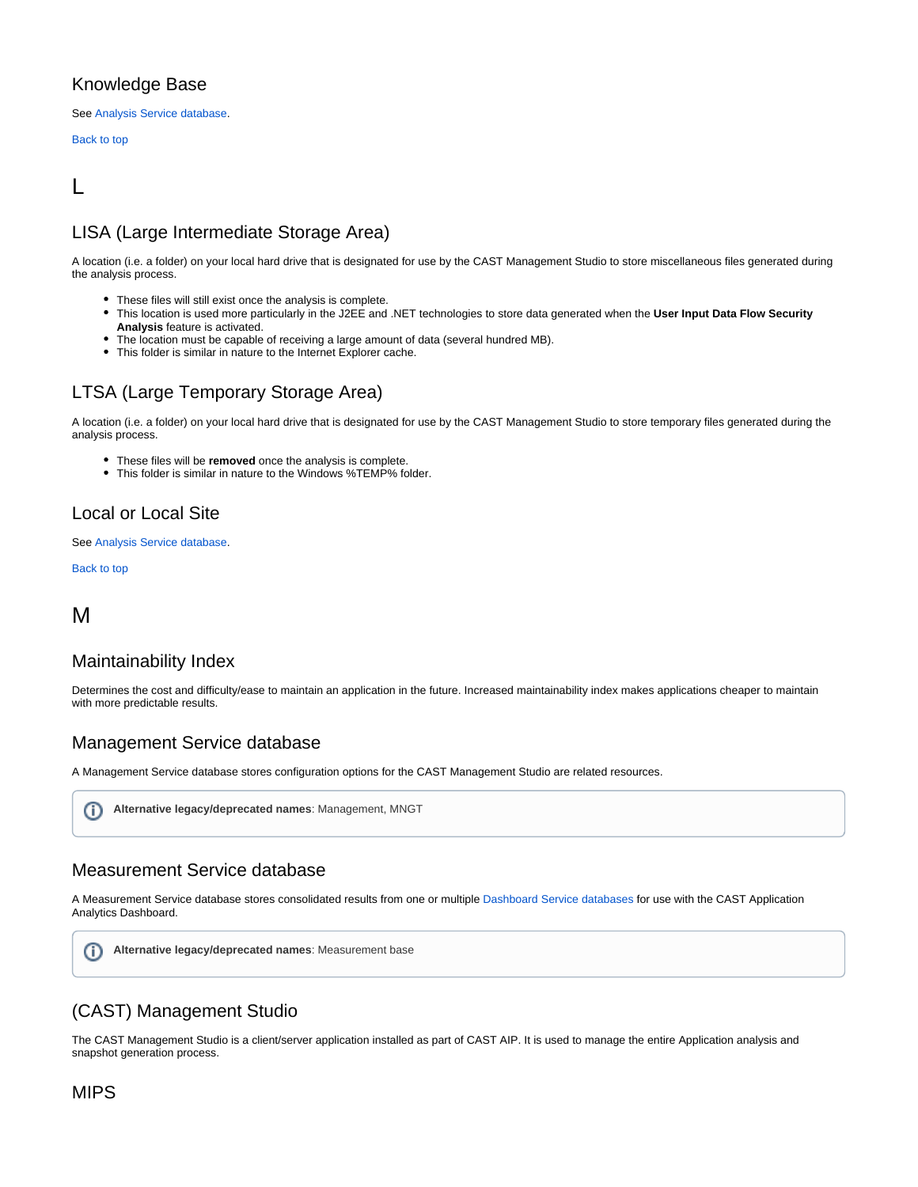# Knowledge Base

See [Analysis Service database](https://doc.castsoftware.com/pages/viewpage.action?pageId=233865401#Glossary-as).

[Back to top](https://doc.castsoftware.com/pages/viewpage.action?pageId=233865401#Glossary-top)

# <span id="page-7-0"></span>L

# LISA (Large Intermediate Storage Area)

A location (i.e. a folder) on your local hard drive that is designated for use by the CAST Management Studio to store miscellaneous files generated during the analysis process.

- These files will still exist once the analysis is complete.
- This location is used more particularly in the J2EE and .NET technologies to store data generated when the **User Input Data Flow Security Analysis** feature is activated.
- The location must be capable of receiving a large amount of data (several hundred MB).
- This folder is similar in nature to the Internet Explorer cache.

# LTSA (Large Temporary Storage Area)

A location (i.e. a folder) on your local hard drive that is designated for use by the CAST Management Studio to store temporary files generated during the analysis process.

- These files will be **removed** once the analysis is complete.
- This folder is similar in nature to the Windows %TEMP% folder.

#### Local or Local Site

See [Analysis Service database](https://doc.castsoftware.com/pages/viewpage.action?pageId=233865401#Glossary-as).

[Back to top](https://doc.castsoftware.com/pages/viewpage.action?pageId=233865401#Glossary-top)

# <span id="page-7-1"></span>M

#### Maintainability Index

Determines the cost and difficulty/ease to maintain an application in the future. Increased maintainability index makes applications cheaper to maintain with more predictable results.

#### Management Service database

A Management Service database stores configuration options for the CAST Management Studio are related resources.



**Alternative legacy/deprecated names**: Management, MNGT

# Measurement Service database

A Measurement Service database stores consolidated results from one or multiple [Dashboard Service databases](http://doc.castsoftware.com#ds) for use with the CAST Application Analytics Dashboard.



**Alternative legacy/deprecated names**: Measurement base

# (CAST) Management Studio

The CAST Management Studio is a client/server application installed as part of CAST AIP. It is used to manage the entire Application analysis and snapshot generation process.

# MIPS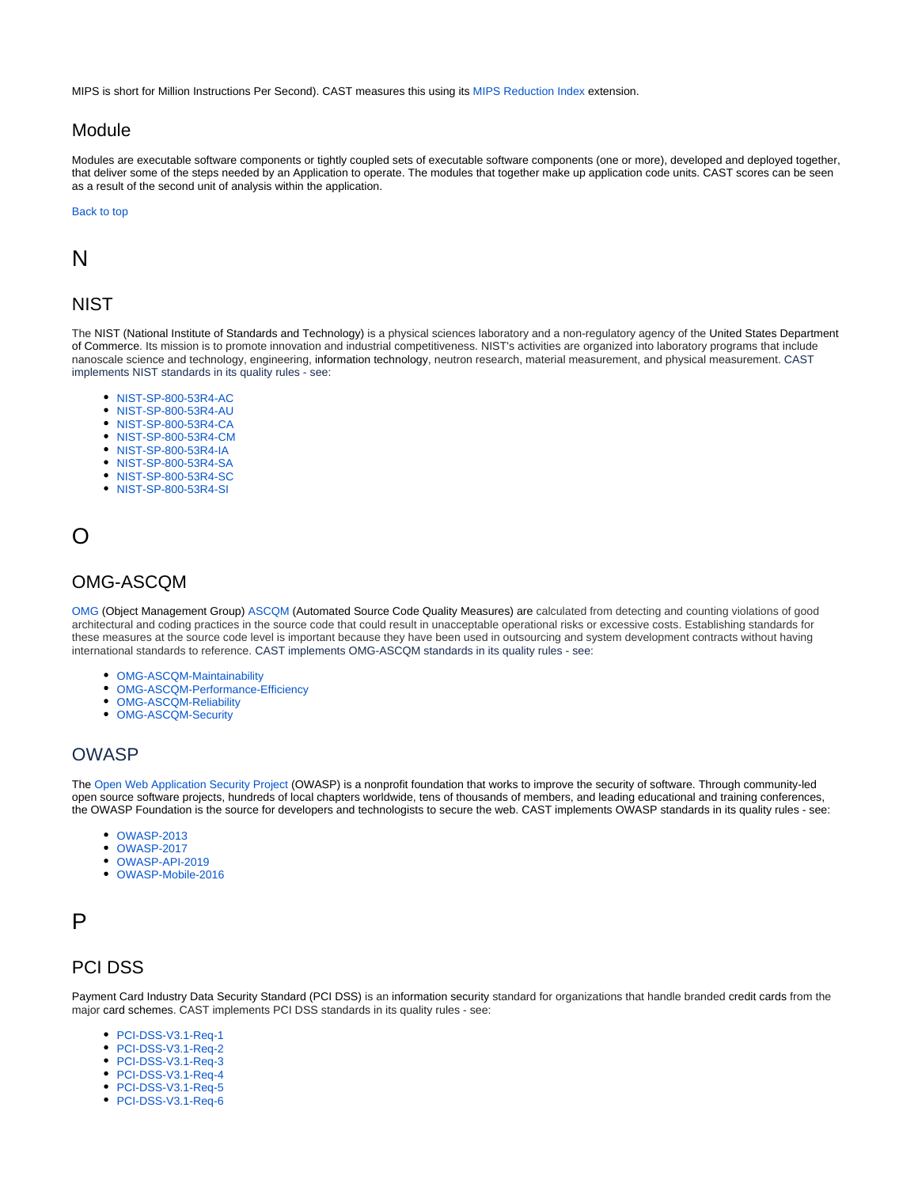MIPS is short for Million Instructions Per Second). CAST measures this using its [MIPS Reduction Index](https://doc.castsoftware.com/display/TECHNOS/MIPS+Reduction+Index) extension.

#### Module

Modules are executable software components or tightly coupled sets of executable software components (one or more), developed and deployed together, that deliver some of the steps needed by an Application to operate. The modules that together make up application code units. CAST scores can be seen as a result of the second unit of analysis within the application.

#### [Back to top](https://doc.castsoftware.com/pages/viewpage.action?pageId=233865401#Glossary-top)

#### <span id="page-8-0"></span>N

#### **NIST**

The NIST (National Institute of Standards and Technology) is a physical sciences laboratory and a non-regulatory agency of the United States Department of Commerce. Its mission is to promote innovation and industrial competitiveness. NIST's activities are organized into laboratory programs that include nanoscale science and technology, engineering, information technology, neutron research, material measurement, and physical measurement. CAST implements NIST standards in its quality rules - see:

- [NIST-SP-800-53R4-AC](https://technologies.castsoftware.com/rules?sec=std_nist-sp-800-53r4_nist-sp-800-53r4-ac&ref=||)
- [NIST-SP-800-53R4-AU](https://technologies.castsoftware.com/rules?sec=std_nist-sp-800-53r4_nist-sp-800-53r4-au&ref=||)
- [NIST-SP-800-53R4-CA](https://technologies.castsoftware.com/rules?sec=std_nist-sp-800-53r4_nist-sp-800-53r4-ca&ref=||)
- [NIST-SP-800-53R4-CM](https://technologies.castsoftware.com/rules?sec=std_nist-sp-800-53r4_nist-sp-800-53r4-cm&ref=||)
- [NIST-SP-800-53R4-IA](https://technologies.castsoftware.com/rules?sec=std_nist-sp-800-53r4_nist-sp-800-53r4-ia&ref=||)
- [NIST-SP-800-53R4-SA](https://technologies.castsoftware.com/rules?sec=std_nist-sp-800-53r4_nist-sp-800-53r4-sa&ref=||)
- [NIST-SP-800-53R4-SC](https://technologies.castsoftware.com/rules?sec=std_nist-sp-800-53r4_nist-sp-800-53r4-sc&ref=||)
- [NIST-SP-800-53R4-SI](https://technologies.castsoftware.com/rules?sec=std_nist-sp-800-53r4_nist-sp-800-53r4-si&ref=||)

# <span id="page-8-1"></span>O

# OMG-ASCQM

[OMG](https://www.omg.org/index.htm) (Object Management Group) [ASCQM](https://www.omg.org/spec/ASCQM/About-ASCQM/) (Automated Source Code Quality Measures) are calculated from detecting and counting violations of good architectural and coding practices in the source code that could result in unacceptable operational risks or excessive costs. Establishing standards for these measures at the source code level is important because they have been used in outsourcing and system development contracts without having international standards to reference. CAST implements OMG-ASCQM standards in its quality rules - see:

- [OMG-ASCQM-Maintainability](https://technologies.castsoftware.com/rules?sec=std_omg-ascqm_omg-ascqm-maintainability&ref=||)
- [OMG-ASCQM-Performance-Efficiency](https://technologies.castsoftware.com/rules?sec=std_omg-ascqm_omg-ascqm-performance-efficiency&ref=||)
- [OMG-ASCQM-Reliability](https://technologies.castsoftware.com/rules?sec=std_omg-ascqm_omg-ascqm-reliability&ref=||)
- [OMG-ASCQM-Security](https://technologies.castsoftware.com/rules?sec=std_omg-ascqm_omg-ascqm-security&ref=||)

#### OWASP

The [Open Web Application Security Project](https://owasp.org/) (OWASP) is a nonprofit foundation that works to improve the security of software. Through community-led open source software projects, hundreds of local chapters worldwide, tens of thousands of members, and leading educational and training conferences, the OWASP Foundation is the source for developers and technologists to secure the web. CAST implements OWASP standards in its quality rules - see:

- [OWASP-2013](https://technologies.castsoftware.com/rules?sec=std_owasp_owasp-2013&ref=||)
- [OWASP-2017](https://technologies.castsoftware.com/rules?sec=std_owasp_owasp-2017&ref=||)
- [OWASP-API-2019](https://technologies.castsoftware.com/rules?sec=std_owasp_owasp-api-2019&ref=||)
- [OWASP-Mobile-2016](https://technologies.castsoftware.com/rules?sec=std_owasp_owasp-mobile-2016&ref=||)

# <span id="page-8-2"></span>P

#### PCI DSS

Payment Card Industry Data Security Standard (PCI DSS) is an information security standard for organizations that handle branded credit cards from the major card schemes. CAST implements PCI DSS standards in its quality rules - see:

- [PCI-DSS-V3.1-Req-1](https://technologies.castsoftware.com/rules?sec=std_pci-dss-v3.1_pci-dss-v3.1-req-1&ref=||)
- [PCI-DSS-V3.1-Req-2](https://technologies.castsoftware.com/rules?sec=std_pci-dss-v3.1_pci-dss-v3.1-req-2&ref=||)
- [PCI-DSS-V3.1-Req-3](https://technologies.castsoftware.com/rules?sec=std_pci-dss-v3.1_pci-dss-v3.1-req-3&ref=||)
- [PCI-DSS-V3.1-Req-4](https://technologies.castsoftware.com/rules?sec=std_pci-dss-v3.1_pci-dss-v3.1-req-4&ref=||)
- [PCI-DSS-V3.1-Req-5](https://technologies.castsoftware.com/rules?sec=std_pci-dss-v3.1_pci-dss-v3.1-req-5&ref=||)
- [PCI-DSS-V3.1-Req-6](https://technologies.castsoftware.com/rules?sec=std_pci-dss-v3.1_pci-dss-v3.1-req-6&ref=||)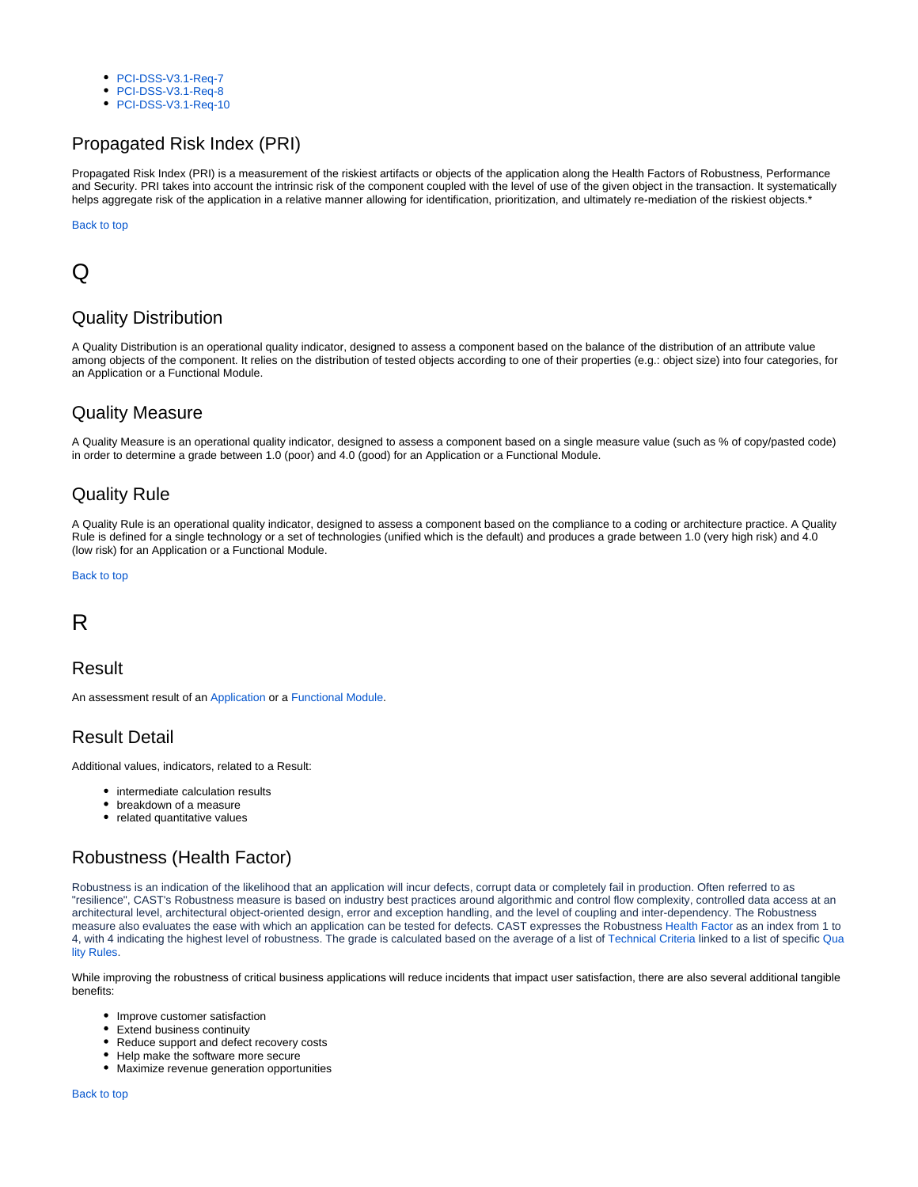- [PCI-DSS-V3.1-Req-7](https://technologies.castsoftware.com/rules?sec=std_pci-dss-v3.1_pci-dss-v3.1-req-7&ref=||)
- [PCI-DSS-V3.1-Req-8](https://technologies.castsoftware.com/rules?sec=std_pci-dss-v3.1_pci-dss-v3.1-req-8&ref=||)
- [PCI-DSS-V3.1-Req-10](https://technologies.castsoftware.com/rules?sec=std_pci-dss-v3.1_pci-dss-v3.1-req-10&ref=||)

# Propagated Risk Index (PRI)

Propagated Risk Index (PRI) is a measurement of the riskiest artifacts or objects of the application along the Health Factors of Robustness, Performance and Security. PRI takes into account the intrinsic risk of the component coupled with the level of use of the given object in the transaction. It systematically helps aggregate risk of the application in a relative manner allowing for identification, prioritization, and ultimately re-mediation of the riskiest objects.\*

#### [Back to top](https://doc.castsoftware.com/pages/viewpage.action?pageId=233865401#Glossary-top)

# <span id="page-9-0"></span>Q

#### Quality Distribution

A Quality Distribution is an operational quality indicator, designed to assess a component based on the balance of the distribution of an attribute value among objects of the component. It relies on the distribution of tested objects according to one of their properties (e.g.: object size) into four categories, for an Application or a Functional Module.

#### Quality Measure

A Quality Measure is an operational quality indicator, designed to assess a component based on a single measure value (such as % of copy/pasted code) in order to determine a grade between 1.0 (poor) and 4.0 (good) for an Application or a Functional Module.

# Quality Rule

A Quality Rule is an operational quality indicator, designed to assess a component based on the compliance to a coding or architecture practice. A Quality Rule is defined for a single technology or a set of technologies (unified which is the default) and produces a grade between 1.0 (very high risk) and 4.0 (low risk) for an Application or a Functional Module.

#### [Back to top](https://doc.castsoftware.com/pages/viewpage.action?pageId=233865401#Glossary-top)

# <span id="page-9-1"></span>R

#### Result

An assessment result of an [Application](https://doc.castsoftware.com/pages/viewpage.action?pageId=233865401#Glossary-application) or a [Functional Module.](https://doc.castsoftware.com/pages/viewpage.action?pageId=233865401#Glossary-fm)

# Result Detail

Additional values, indicators, related to a Result:

- intermediate calculation results
- breakdown of a measure
- related quantitative values

# Robustness (Health Factor)

Robustness is an indication of the likelihood that an application will incur defects, corrupt data or completely fail in production. Often referred to as "resilience", CAST's Robustness measure is based on industry best practices around algorithmic and control flow complexity, controlled data access at an architectural level, architectural object-oriented design, error and exception handling, and the level of coupling and inter-dependency. The Robustness measure also evaluates the ease with which an application can be tested for defects. CAST expresses the Robustness [Health Factor](https://doc.castsoftware.com/pages/viewpage.action?pageId=233865401#Glossary-hf) as an index from 1 to 4, with 4 indicating the highest level of robustness. The grade is calculated based on the average of a list of [Technical Criteria](https://doc.castsoftware.com/pages/viewpage.action?pageId=233865401#Glossary-tc) linked to a list of specific [Qua](https://doc.castsoftware.com/pages/viewpage.action?pageId=233865401#Glossary-qr) [lity Rules](https://doc.castsoftware.com/pages/viewpage.action?pageId=233865401#Glossary-qr).

While improving the robustness of critical business applications will reduce incidents that impact user satisfaction, there are also several additional tangible benefits:

- Improve customer satisfaction
- Extend business continuity
- Reduce support and defect recovery costs
- Help make the software more secure
- Maximize revenue generation opportunities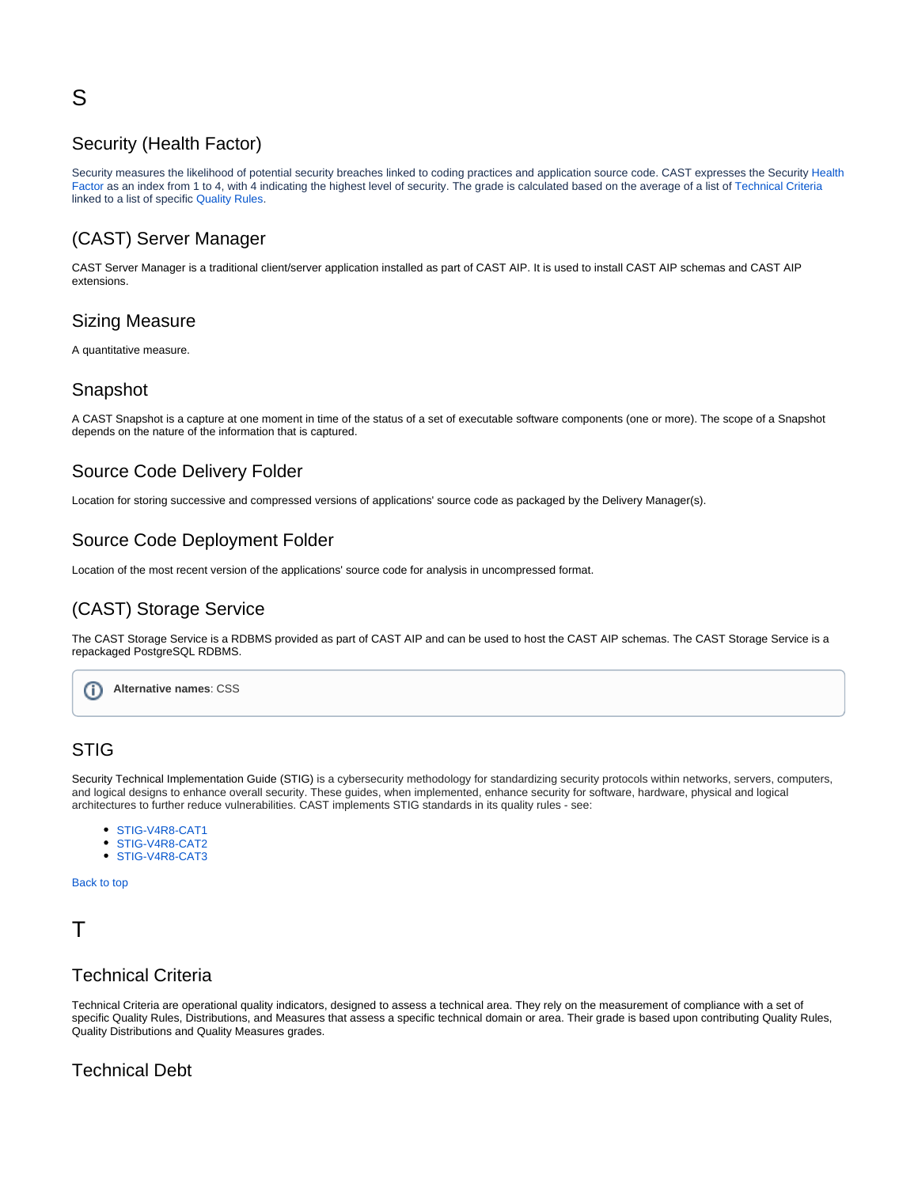# <span id="page-10-0"></span>Security (Health Factor)

Security measures the likelihood of potential security breaches linked to coding practices and application source code. CAST expresses the Security [Health](https://doc.castsoftware.com/pages/viewpage.action?pageId=233865401#Glossary-hf) [Factor](https://doc.castsoftware.com/pages/viewpage.action?pageId=233865401#Glossary-hf) as an index from 1 to 4, with 4 indicating the highest level of security. The grade is calculated based on the average of a list of [Technical Criteria](https://doc.castsoftware.com/pages/viewpage.action?pageId=233865401#Glossary-tc) linked to a list of specific [Quality Rules.](https://doc.castsoftware.com/pages/viewpage.action?pageId=233865401#Glossary-qr)

# (CAST) Server Manager

CAST Server Manager is a traditional client/server application installed as part of CAST AIP. It is used to install CAST AIP schemas and CAST AIP extensions.

# Sizing Measure

A quantitative measure.

# Snapshot

A CAST Snapshot is a capture at one moment in time of the status of a set of executable software components (one or more). The scope of a Snapshot depends on the nature of the information that is captured.

# Source Code Delivery Folder

Location for storing successive and compressed versions of applications' source code as packaged by the Delivery Manager(s).

# Source Code Deployment Folder

Location of the most recent version of the applications' source code for analysis in uncompressed format.

# (CAST) Storage Service

The CAST Storage Service is a RDBMS provided as part of CAST AIP and can be used to host the CAST AIP schemas. The CAST Storage Service is a repackaged PostgreSQL RDBMS.

**Alternative names**: CSSG)

# STIG

Security Technical Implementation Guide (STIG) is a cybersecurity methodology for standardizing security protocols within networks, servers, computers, and logical designs to enhance overall security. These guides, when implemented, enhance security for software, hardware, physical and logical architectures to further reduce vulnerabilities. CAST implements STIG standards in its quality rules - see:

- [STIG-V4R8-CAT1](https://technologies.castsoftware.com/rules?sec=std_stig-v4r8_stig-v4r8-cat1&ref=||)
- [STIG-V4R8-CAT2](https://technologies.castsoftware.com/rules?sec=std_stig-v4r8_stig-v4r8-cat2&ref=||)
- [STIG-V4R8-CAT3](https://technologies.castsoftware.com/rules?sec=std_stig-v4r8_stig-v4r8-cat3&ref=||)

[Back to top](https://doc.castsoftware.com/pages/viewpage.action?pageId=233865401#Glossary-top)

# <span id="page-10-1"></span>T

# Technical Criteria

Technical Criteria are operational quality indicators, designed to assess a technical area. They rely on the measurement of compliance with a set of specific Quality Rules, Distributions, and Measures that assess a specific technical domain or area. Their grade is based upon contributing Quality Rules, Quality Distributions and Quality Measures grades.

# Technical Debt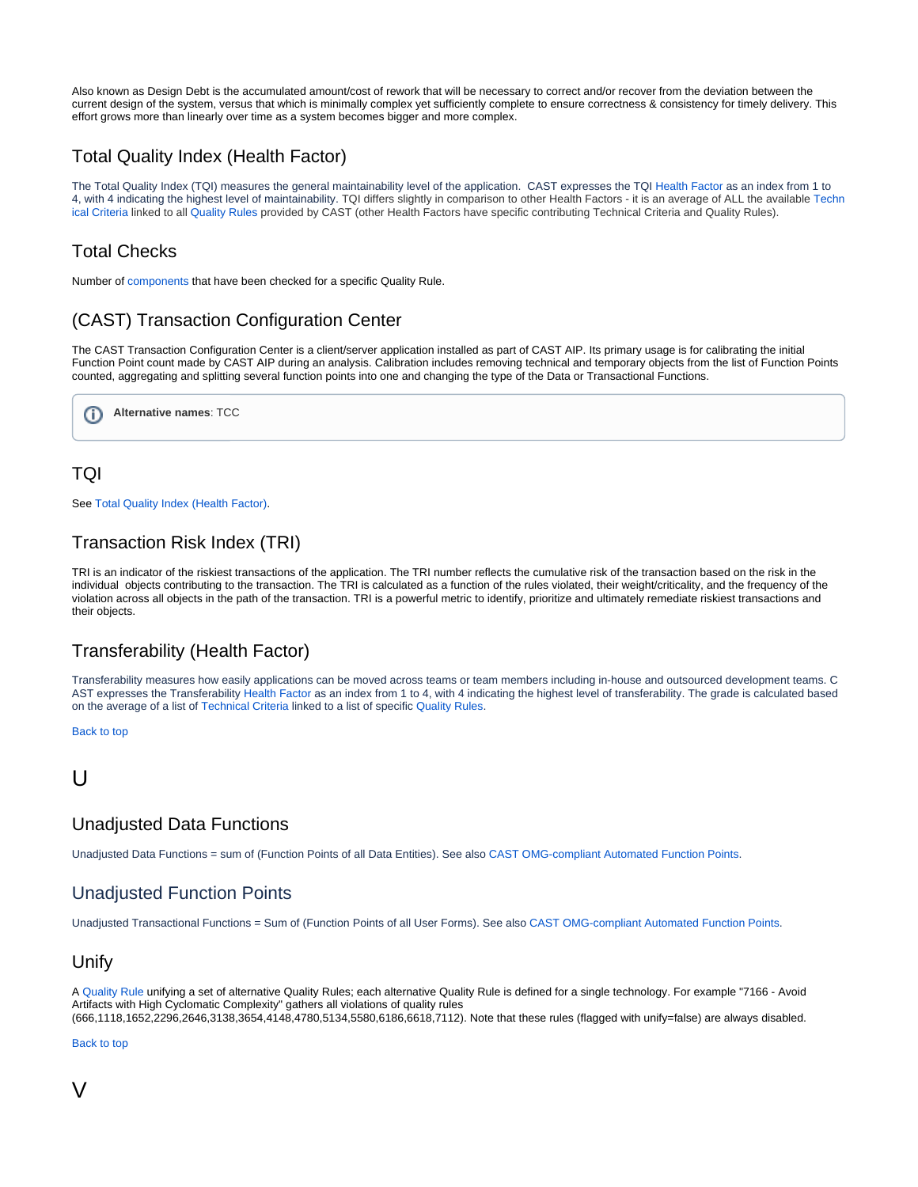Also known as Design Debt is the accumulated amount/cost of rework that will be necessary to correct and/or recover from the deviation between the current design of the system, versus that which is minimally complex yet sufficiently complete to ensure correctness & consistency for timely delivery. This effort grows more than linearly over time as a system becomes bigger and more complex.

# Total Quality Index (Health Factor)

The Total Quality Index (TQI) measures the general maintainability level of the application. CAST expresses the TQI [Health Factor](https://doc.castsoftware.com/pages/viewpage.action?pageId=233865401#Glossary-hf) as an index from 1 to 4, with 4 indicating the highest level of maintainability. TQI differs slightly in comparison to other Health Factors - it is an average of ALL the available [Techn](https://doc.castsoftware.com/pages/viewpage.action?pageId=233865401#Glossary-tc) [ical Criteria](https://doc.castsoftware.com/pages/viewpage.action?pageId=233865401#Glossary-tc) linked to all [Quality Rules](https://doc.castsoftware.com/pages/viewpage.action?pageId=233865401#Glossary-qr) provided by CAST (other Health Factors have specific contributing Technical Criteria and Quality Rules).

# Total Checks

Number of [components](http://doc.castsoftware.com/display/CAST/Glossary#Glossary-component) that have been checked for a specific Quality Rule.

# (CAST) Transaction Configuration Center

The CAST Transaction Configuration Center is a client/server application installed as part of CAST AIP. Its primary usage is for calibrating the initial Function Point count made by CAST AIP during an analysis. Calibration includes removing technical and temporary objects from the list of Function Points counted, aggregating and splitting several function points into one and changing the type of the Data or Transactional Functions.

**Alternative names**: TCCG)

# TQI

See [Total Quality Index \(Health Factor\)](https://doc.castsoftware.com/pages/viewpage.action?pageId=233865401#Glossary-TQI).

# Transaction Risk Index (TRI)

TRI is an indicator of the riskiest transactions of the application. The TRI number reflects the cumulative risk of the transaction based on the risk in the individual objects contributing to the transaction. The TRI is calculated as a function of the rules violated, their weight/criticality, and the frequency of the violation across all objects in the path of the transaction. TRI is a powerful metric to identify, prioritize and ultimately remediate riskiest transactions and their objects.

# Transferability (Health Factor)

Transferability measures how easily applications can be moved across teams or team members including in-house and outsourced development teams. C AST expresses the Transferability [Health Factor](https://doc.castsoftware.com/pages/viewpage.action?pageId=233865401#Glossary-hf) as an index from 1 to 4, with 4 indicating the highest level of transferability. The grade is calculated based on the average of a list of [Technical Criteria](https://doc.castsoftware.com/pages/viewpage.action?pageId=233865401#Glossary-tc) linked to a list of specific [Quality Rules](https://doc.castsoftware.com/pages/viewpage.action?pageId=233865401#Glossary-qr).

[Back to top](https://doc.castsoftware.com/pages/viewpage.action?pageId=233865401#Glossary-top)

# <span id="page-11-0"></span> $\mathsf{U}$

#### Unadjusted Data Functions

Unadjusted Data Functions = sum of (Function Points of all Data Entities). See also [CAST OMG-compliant Automated Function Points.](https://doc.castsoftware.com/display/DOC83/CAST+OMG-compliant+Automated+Function+Points)

# Unadjusted Function Points

Unadjusted Transactional Functions = Sum of (Function Points of all User Forms). See also [CAST OMG-compliant Automated Function Points](https://doc.castsoftware.com/display/DOC83/CAST+OMG-compliant+Automated+Function+Points).

# Unify

<span id="page-11-1"></span>A [Quality Rule](https://doc.castsoftware.com/pages/viewpage.action?pageId=233865401#Glossary-qr) unifying a set of alternative Quality Rules; each alternative Quality Rule is defined for a single technology. For example "7166 - Avoid Artifacts with High Cyclomatic Complexity" gathers all violations of quality rules (666,1118,1652,2296,2646,3138,3654,4148,4780,5134,5580,6186,6618,7112). Note that these rules (flagged with unify=false) are always disabled.